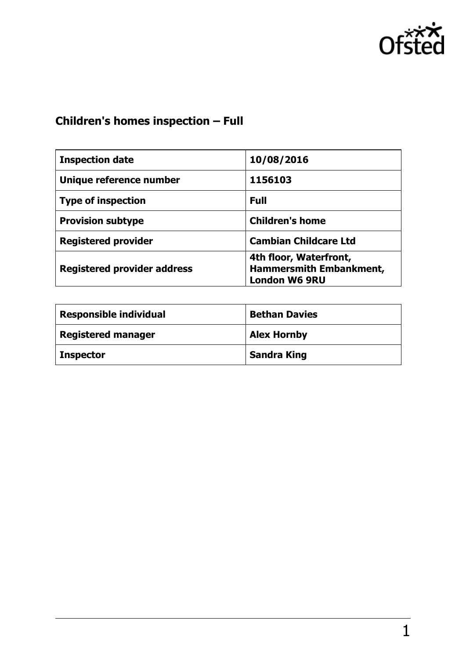

# **Children's homes inspection – Full**

| <b>Inspection date</b>             | 10/08/2016                                                                       |
|------------------------------------|----------------------------------------------------------------------------------|
| Unique reference number            | 1156103                                                                          |
| <b>Type of inspection</b>          | <b>Full</b>                                                                      |
| <b>Provision subtype</b>           | <b>Children's home</b>                                                           |
| <b>Registered provider</b>         | <b>Cambian Childcare Ltd</b>                                                     |
| <b>Registered provider address</b> | 4th floor, Waterfront,<br><b>Hammersmith Embankment,</b><br><b>London W6 9RU</b> |

| <b>Responsible individual</b> | <b>Bethan Davies</b> |
|-------------------------------|----------------------|
| <b>Registered manager</b>     | <b>Alex Hornby</b>   |
| <b>Inspector</b>              | <b>Sandra King</b>   |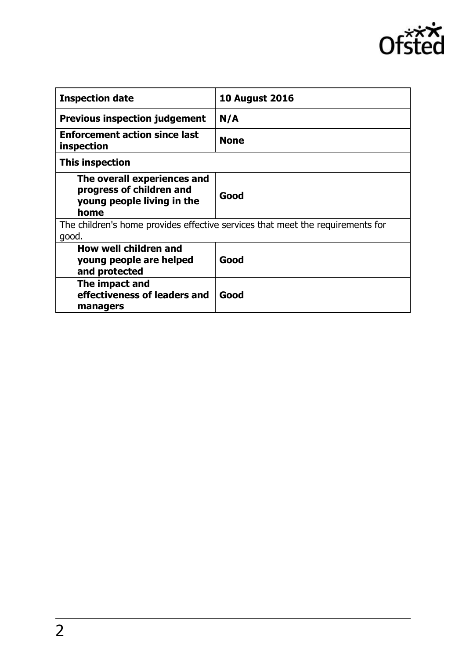

| <b>Inspection date</b>                                                                        | <b>10 August 2016</b> |
|-----------------------------------------------------------------------------------------------|-----------------------|
| <b>Previous inspection judgement</b>                                                          | N/A                   |
| <b>Enforcement action since last</b><br>inspection                                            | <b>None</b>           |
| This inspection                                                                               |                       |
| The overall experiences and<br>progress of children and<br>young people living in the<br>home | Good                  |
| The children's home provides effective services that meet the requirements for<br>good.       |                       |
| How well children and<br>young people are helped<br>and protected                             | Good                  |
| The impact and<br>effectiveness of leaders and<br>managers                                    | Good                  |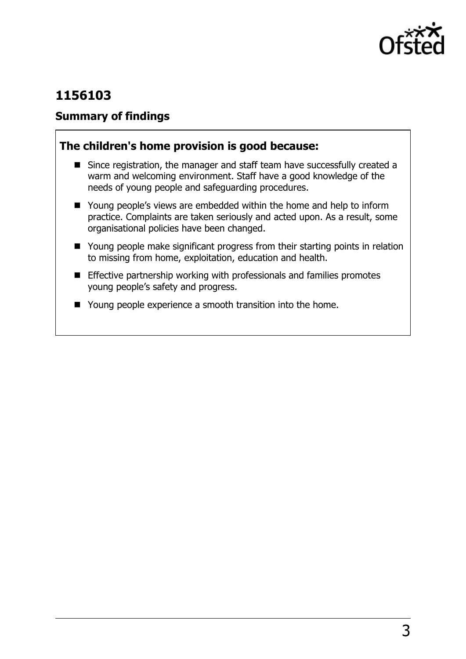

## **1156103**

### **Summary of findings**

### **The children's home provision is good because:**

- Since registration, the manager and staff team have successfully created a warm and welcoming environment. Staff have a good knowledge of the needs of young people and safeguarding procedures.
- Young people's views are embedded within the home and help to inform practice. Complaints are taken seriously and acted upon. As a result, some organisational policies have been changed.
- Young people make significant progress from their starting points in relation to missing from home, exploitation, education and health.
- **Effective partnership working with professionals and families promotes** young people's safety and progress.
- Young people experience a smooth transition into the home.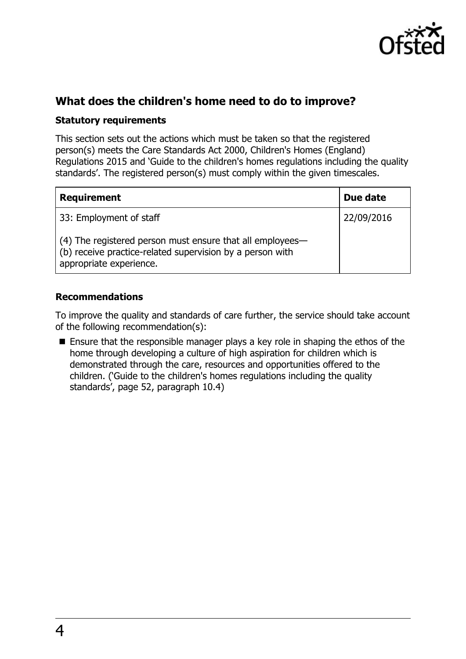

## **What does the children's home need to do to improve?**

#### **Statutory requirements**

This section sets out the actions which must be taken so that the registered person(s) meets the Care Standards Act 2000, Children's Homes (England) Regulations 2015 and 'Guide to the children's homes regulations including the quality standards'. The registered person(s) must comply within the given timescales.

| <b>Requirement</b>                                                                                                                                | Due date   |
|---------------------------------------------------------------------------------------------------------------------------------------------------|------------|
| 33: Employment of staff                                                                                                                           | 22/09/2016 |
| (4) The registered person must ensure that all employees—<br>(b) receive practice-related supervision by a person with<br>appropriate experience. |            |

#### **Recommendations**

To improve the quality and standards of care further, the service should take account of the following recommendation(s):

■ Ensure that the responsible manager plays a key role in shaping the ethos of the home through developing a culture of high aspiration for children which is demonstrated through the care, resources and opportunities offered to the children. ('Guide to the children's homes regulations including the quality standards', page 52, paragraph 10.4)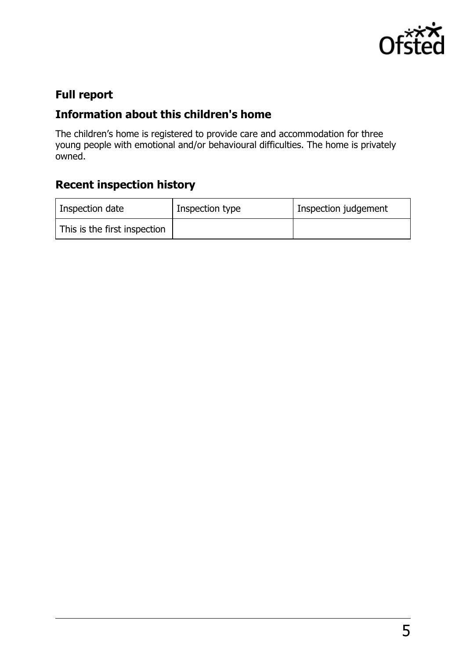

## **Full report**

## **Information about this children's home**

The children's home is registered to provide care and accommodation for three young people with emotional and/or behavioural difficulties. The home is privately owned.

# **Recent inspection history**

| Inspection date              | Inspection type | Inspection judgement |
|------------------------------|-----------------|----------------------|
| This is the first inspection |                 |                      |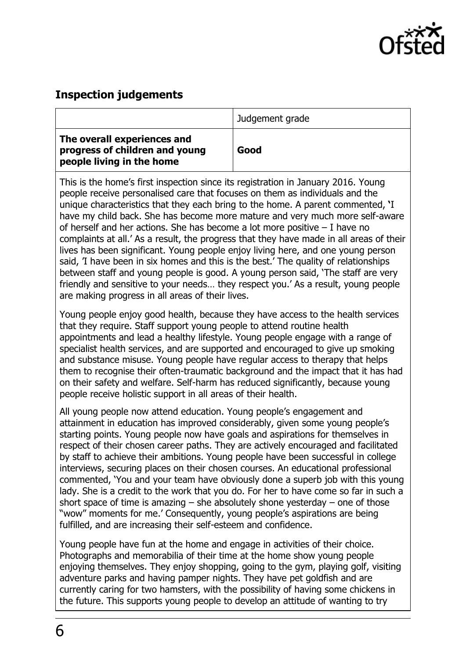

## **Inspection judgements**

|                                                                                            | Judgement grade |
|--------------------------------------------------------------------------------------------|-----------------|
| The overall experiences and<br>progress of children and young<br>people living in the home | Good            |

This is the home's first inspection since its registration in January 2016. Young people receive personalised care that focuses on them as individuals and the unique characteristics that they each bring to the home. A parent commented, **'**I have my child back. She has become more mature and very much more self-aware of herself and her actions. She has become a lot more positive – I have no complaints at all.' As a result, the progress that they have made in all areas of their lives has been significant. Young people enjoy living here, and one young person said, 'I have been in six homes and this is the best.' The quality of relationships between staff and young people is good. A young person said, 'The staff are very friendly and sensitive to your needs… they respect you.' As a result, young people are making progress in all areas of their lives.

Young people enjoy good health, because they have access to the health services that they require. Staff support young people to attend routine health appointments and lead a healthy lifestyle. Young people engage with a range of specialist health services, and are supported and encouraged to give up smoking and substance misuse. Young people have regular access to therapy that helps them to recognise their often-traumatic background and the impact that it has had on their safety and welfare. Self-harm has reduced significantly, because young people receive holistic support in all areas of their health.

All young people now attend education. Young people's engagement and attainment in education has improved considerably, given some young people's starting points. Young people now have goals and aspirations for themselves in respect of their chosen career paths. They are actively encouraged and facilitated by staff to achieve their ambitions. Young people have been successful in college interviews, securing places on their chosen courses. An educational professional commented, ‗You and your team have obviously done a superb job with this young lady. She is a credit to the work that you do. For her to have come so far in such a short space of time is amazing  $-$  she absolutely shone vesterday  $-$  one of those "wow" moments for me.' Consequently, young people's aspirations are being fulfilled, and are increasing their self-esteem and confidence.

Young people have fun at the home and engage in activities of their choice. Photographs and memorabilia of their time at the home show young people enjoying themselves. They enjoy shopping, going to the gym, playing golf, visiting adventure parks and having pamper nights. They have pet goldfish and are currently caring for two hamsters, with the possibility of having some chickens in the future. This supports young people to develop an attitude of wanting to try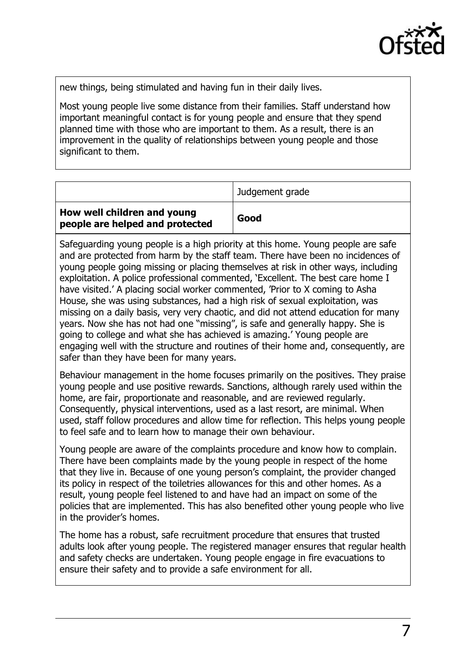

new things, being stimulated and having fun in their daily lives.

Most young people live some distance from their families. Staff understand how important meaningful contact is for young people and ensure that they spend planned time with those who are important to them. As a result, there is an improvement in the quality of relationships between young people and those significant to them.

|                                                                | Judgement grade |
|----------------------------------------------------------------|-----------------|
| How well children and young<br>people are helped and protected | Good            |

Safeguarding young people is a high priority at this home. Young people are safe and are protected from harm by the staff team. There have been no incidences of young people going missing or placing themselves at risk in other ways, including exploitation. A police professional commented, 'Excellent. The best care home I have visited.' A placing social worker commented, 'Prior to X coming to Asha House, she was using substances, had a high risk of sexual exploitation, was missing on a daily basis, very very chaotic, and did not attend education for many years. Now she has not had one "missing", is safe and generally happy. She is going to college and what she has achieved is amazing.' Young people are engaging well with the structure and routines of their home and, consequently, are safer than they have been for many years.

Behaviour management in the home focuses primarily on the positives. They praise young people and use positive rewards. Sanctions, although rarely used within the home, are fair, proportionate and reasonable, and are reviewed regularly. Consequently, physical interventions, used as a last resort, are minimal. When used, staff follow procedures and allow time for reflection. This helps young people to feel safe and to learn how to manage their own behaviour.

Young people are aware of the complaints procedure and know how to complain. There have been complaints made by the young people in respect of the home that they live in. Because of one young person's complaint, the provider changed its policy in respect of the toiletries allowances for this and other homes. As a result, young people feel listened to and have had an impact on some of the policies that are implemented. This has also benefited other young people who live in the provider's homes.

The home has a robust, safe recruitment procedure that ensures that trusted adults look after young people. The registered manager ensures that regular health and safety checks are undertaken. Young people engage in fire evacuations to ensure their safety and to provide a safe environment for all.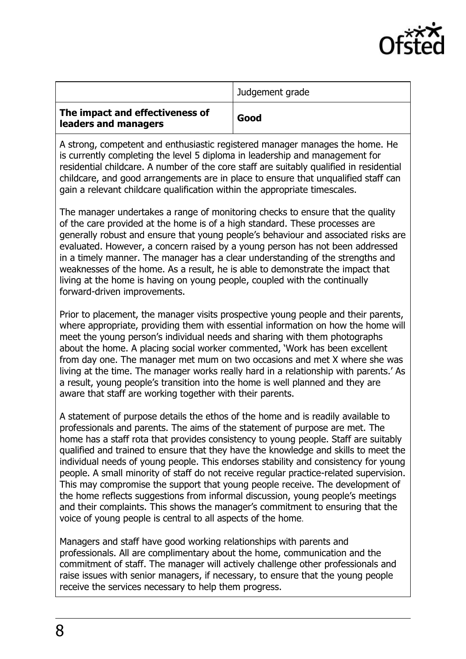

|                                                         | Judgement grade |
|---------------------------------------------------------|-----------------|
| The impact and effectiveness of<br>leaders and managers | Good            |

A strong, competent and enthusiastic registered manager manages the home. He is currently completing the level 5 diploma in leadership and management for residential childcare. A number of the core staff are suitably qualified in residential childcare, and good arrangements are in place to ensure that unqualified staff can gain a relevant childcare qualification within the appropriate timescales.

The manager undertakes a range of monitoring checks to ensure that the quality of the care provided at the home is of a high standard. These processes are generally robust and ensure that young people's behaviour and associated risks are evaluated. However, a concern raised by a young person has not been addressed in a timely manner. The manager has a clear understanding of the strengths and weaknesses of the home. As a result, he is able to demonstrate the impact that living at the home is having on young people, coupled with the continually forward-driven improvements.

Prior to placement, the manager visits prospective young people and their parents, where appropriate, providing them with essential information on how the home will meet the young person's individual needs and sharing with them photographs about the home. A placing social worker commented, 'Work has been excellent from day one. The manager met mum on two occasions and met X where she was living at the time. The manager works really hard in a relationship with parents.' As a result, young people's transition into the home is well planned and they are aware that staff are working together with their parents.

A statement of purpose details the ethos of the home and is readily available to professionals and parents. The aims of the statement of purpose are met. The home has a staff rota that provides consistency to young people. Staff are suitably qualified and trained to ensure that they have the knowledge and skills to meet the individual needs of young people. This endorses stability and consistency for young people. A small minority of staff do not receive regular practice-related supervision. This may compromise the support that young people receive. The development of the home reflects suggestions from informal discussion, young people's meetings and their complaints. This shows the manager's commitment to ensuring that the voice of young people is central to all aspects of the home.

Managers and staff have good working relationships with parents and professionals. All are complimentary about the home, communication and the commitment of staff. The manager will actively challenge other professionals and raise issues with senior managers, if necessary, to ensure that the young people receive the services necessary to help them progress.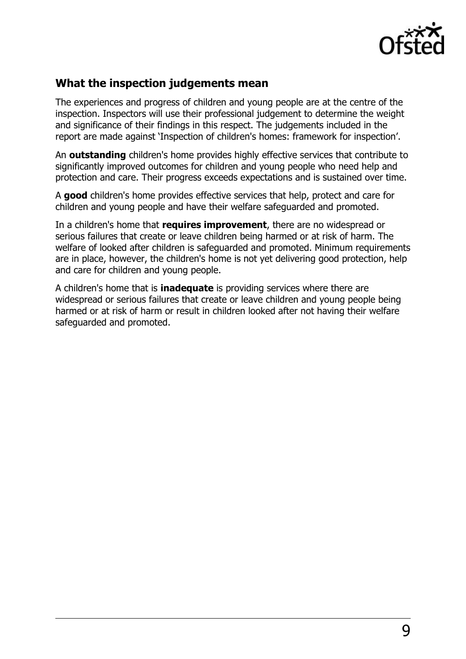

### **What the inspection judgements mean**

The experiences and progress of children and young people are at the centre of the inspection. Inspectors will use their professional judgement to determine the weight and significance of their findings in this respect. The judgements included in the report are made against 'Inspection of children's homes: framework for inspection'.

An **outstanding** children's home provides highly effective services that contribute to significantly improved outcomes for children and young people who need help and protection and care. Their progress exceeds expectations and is sustained over time.

A **good** children's home provides effective services that help, protect and care for children and young people and have their welfare safeguarded and promoted.

In a children's home that **requires improvement**, there are no widespread or serious failures that create or leave children being harmed or at risk of harm. The welfare of looked after children is safeguarded and promoted. Minimum requirements are in place, however, the children's home is not yet delivering good protection, help and care for children and young people.

A children's home that is **inadequate** is providing services where there are widespread or serious failures that create or leave children and young people being harmed or at risk of harm or result in children looked after not having their welfare safeguarded and promoted.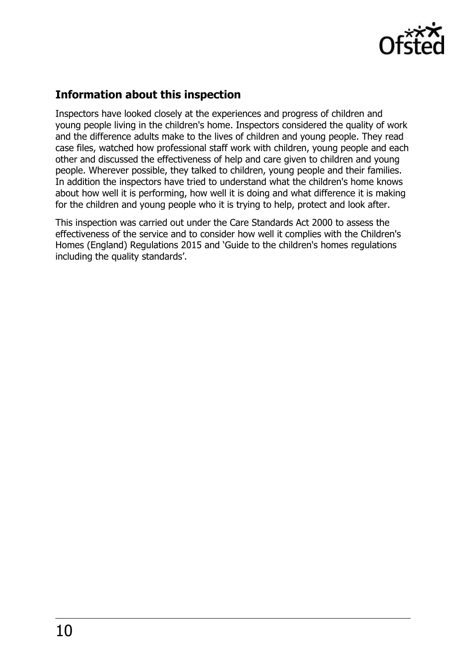

## **Information about this inspection**

Inspectors have looked closely at the experiences and progress of children and young people living in the children's home. Inspectors considered the quality of work and the difference adults make to the lives of children and young people. They read case files, watched how professional staff work with children, young people and each other and discussed the effectiveness of help and care given to children and young people. Wherever possible, they talked to children, young people and their families. In addition the inspectors have tried to understand what the children's home knows about how well it is performing, how well it is doing and what difference it is making for the children and young people who it is trying to help, protect and look after.

This inspection was carried out under the Care Standards Act 2000 to assess the effectiveness of the service and to consider how well it complies with the Children's Homes (England) Regulations 2015 and 'Guide to the children's homes regulations including the quality standards'.